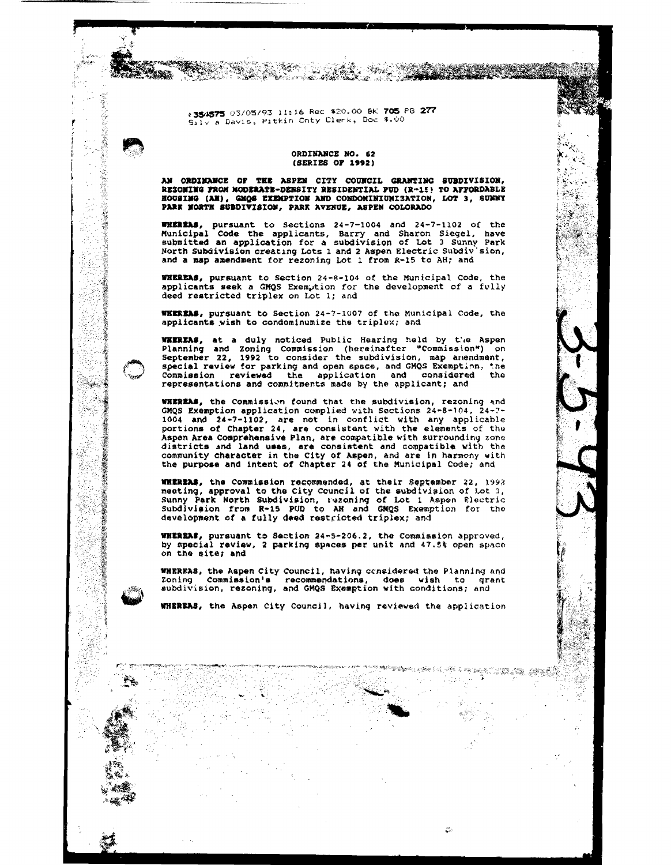:354575 03/05/93 11:16 Rec \$20.00 BK 705 PG 277 Silv a Davis, Pitkin Cnty Clerk, Doc \$.00

e a com

V. am

Ť

**SEMICALLY** 

1. 第2章

**本の世界の「あるので、その他のことを見ることに、その他のことに、その他のことに、その他のことに、その他のことに、その他のことに、その他のことに、その他のことに、その他のことに、その他のことに、その他のことに、その他のことに、その他のことに、その他のことに、その他のことに、その他のことに、その他のことに、その他のことに、その他のことに、その他のことに、その他のことに、その他のことに、その他のことに、その他のことに、その他のことに、その他** 

 $S_{\text{M}}$ 

 $\mathcal{C} \subset \mathcal{C}$ 

동공

Ł

## ORDINANCE NO. 62 (SERTES OF 1992)

AN ORDINANCE OF THE ASPEN CITY COUNCIL GRANTING SUBDIVISION, RESONING FROM MODERATE-DENSITY RESIDENTIAL PUD (R-15) TO AFFORDABLE HOUSING (AH), GMOS EXEMPTION AND CONDOMINIUNISATION, LOT 3, SUNNY PARK NORTH SUBDIVISION, PARK AVENUE, ASPEN COLORADO

**WHEREAS, pursuant to Sections 24-7-1004 and 24-7-1102 of the Municipal Code the applicants, Barry and Sharon Siegel, have** submitted an application for a subdivision of Lot 3 Sunny Park North Subdivision creating Lots 1 and 2 Aspen Electric Subdiv'sion, and a map amendment for rezoning Lot 1 from R-15 to AH; and

**WHEREAS, pursuant to Section 24-8-104 of the Municipal Code, the applicants seek a GMQS Exemption for the development of a fully** deed restricted triplex on Lot 1; and

WEEREAS, pursuant to Section 24-7-1007 of the Municipal Code, the applicants wish to condominumize the triplex: and

WHEREAS, at a duly noticed Public Hearing held by the Aspen Planning and Zoning Commission (hereinafter "Commission") on<br>September 22, 1992 to consider the subdivision, map anendment, special review for parking and open space, and GMQS Exemption, the<br>Commission reviewed the application and considered the representations and commitments made by the applicant; and

WHEREAS, the Commission found that the subdivision, rezoning and CMQS Exemption application complied with Sections 24-8-104, 24-7-<br>1004 and 24-7-1102, are not in conflict with any applicable<br>portions of Chapter 24, are consistent with the elements of the Aspen Area Comprehensive Plan, are compatible with surrounding zone districts and land uses, are consistent and compatible with the community character in the City of Aspen, and are in harmony with the purpose and intent of Chapter 24 of the Municipal Code; and

WHEREAS, the Commission recommended, at their September 22, 1992 meeting, approval to the City Council of the subdivision of Lot 3,<br>Sunny Park North Subdivision, rezoning of Lot 1 Aspen Electric<br>Subdivision from R-15 PUD to AH and GM(25 Exemption for the development of a fully deed restricted triplex; and

WHEREAS, pursuant to Section 24-5-206.2, the Commission approved, by special review, 2 parking spaces per unit and 47.5% open space on the site; and

WHEREAS, the Aspen City Council, having considered the Planning and zoning Commission's recommendations, does wish to grant<br>subdivision, rezoning, and GMQS Exemption with conditions; and

WHEREAS, the Aspen City Council, having reviewed the application

Server and the server of the server of the server of the server of the server of the server of the server of the server of the server of the server of the server of the server of the server of the server of the server of t

al galeries

 $\mathbb{R}^3$ 

ingen av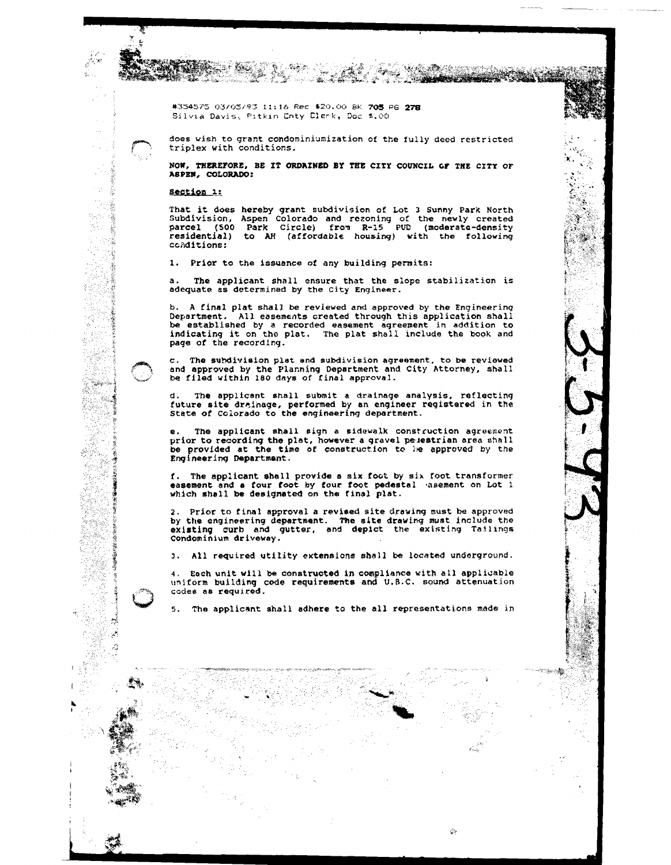#354575 03/05/93 11:16 Rec \$20.00 BK 705 PG 278 Silvia Davis, Pitkin Cnty Clerk, Doc \$.00

 $\mathcal{H}_{\mathcal{G}}(\mathcal{E}_{\mathcal{G}})$  .

does wish to grant condominiumization of the fully deed restricted triplex with conditions.

Pag.

**STARTS** 

**Constitution of the Constitution of the Constitution of the Constitution of the Constitution of the Constitution** 

 $\mathcal{A}$  .

 $\mathbb{S}_{\frac{1}{2}}$ 

 $\Omega_{\rm m}$ 

**The Second** 

 $\mathcal{Q}_\mathcal{P}$ 

NOW. THEREFORE, BE IT ORDAINED BY THE CITY COUNCIL OF THE CITY OF ASPEN, COLORADO:

Section 1:

кĹ.

i<br>Su

28

59

- 1

Ą

医中央性心房

Ť

**Superintendents** 

İ

÷,  $\mathcal{P}$ Ă

 $\mathcal{L}(\mathcal{G})$ 

S

 $\sim 2$ 

ş

ことの あいまま

That it does hereby grant subdivision of Lot 3 Sunny Park North<br>Subdivision, Aspen Colorado and rezoning of the newly created<br>parcel (500 Park Circle) from R-15 PUD (moderate-density residential) to AH (affordable housing) with the following conditions:

1. Prior to the issuance of any building permits:

The applicant shall ensure that the slope stabilization is  $\mathbf{a}$ . adequate as determined by the City Engineer.

b. A final plat shall be reviewed and approved by the Engineering Department. All easements created through this application shall be established by a recorded easement agreement in addition to indicating it on the plat. The plat shall include the book and page of the recording.

c. The subdivision plat and subdivision agreement, to be reviewed and approved by the Planning Department and City Attorney, shall be filed within 180 days of final approval.

The applicant shall submit a drainage analysis, reflecting state of colorado to the engineering department.<br>State of colorado to the engineering department.

The applicant shall sign a sidewalk construction agreement prior to recording the plat, however a gravel pelestrian area shall be provided at the time of construction to be approved by the Engineering Department.

f. The applicant shall provide a six foot by six foot transformer easement and a four foot by four foot pedestal hasement on Lot 1 which shall be designated on the final plat.

2. Prior to final approval a revised site drawing must be approved by the engineering department. The site drawing must include the<br>existing curb and gutter, and depict the existing Tailings<br>condominium driveway.

3. All required utility extensions shall be located underground.

4. Each unit will be constructed in compliance with all applicable uniform building code requirements and U.B.C. sound attenuation codes as required.

 $\mathbf{s}$ . The applicant shall adhere to the all representations made in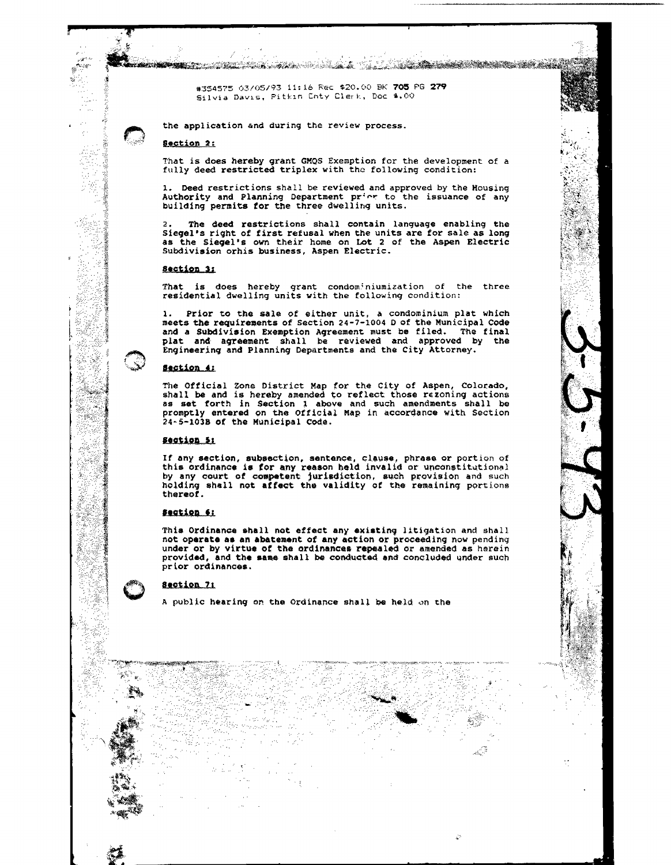#354575 03/05/93 11:16 Rec \$20.00 BK 705 PG 279 Silvia Davis, Pitkin Cnty Clerk, Doc 4.00

the application and during the review process.

an<del>d the steam of the state of the state of the state of the state of the state of the state of the state of the s</del>

## Section 2:

 $\mathcal{B}$ 

化磷脂

ź

ş

That is does hereby grant GMQS Exemption for the development of a fully deed restricted triplex with the following condition:

e de la composición de la construcción de la construcción de la construcción de la construcción de la construc

 $\mathbb{A}^{\mathbb{C}^2}_{\mathbb{A}_\mathbf{K}}$ 

ĝ.

Deed restrictions shall be reviewed and approved by the Housing Authority and Planning Department price to the issuance of any<br>building permits for the three dwelling units.

2. The deed restrictions shall contain language enabling the Siegel's right of first refusal when the units are for sale as long as the Siegel's own their home on Lot 2 of the Aspen Electric Subdivision orhis business, Aspen Electric.

# Section 3:

That is does hereby grant condominiumization of the three residential dwelling units with the following condition:

1. Prior to the sale of either unit, a condominium plat which meets the requirements of Section 24-7-1004 D of the Municipal Code and a Subdivision Exemption Agreement must be filed. The final<br>plat and agreement shall be reviewed and approved by the Engineering and Planning Departments and the City Attorney.

#### **Section 4:**

The Official Zone District Map for the City of Aspen, Colorado, shall be and is hereby amended to reflect those rezoning actions as set forth in Section 1 above and such amendments shall be promptly entered on the Official Map in accordance with Section 24-5-103B of the Municipal Code.

### Section 5:

If any section, subsection, sentence, clause, phrase or portion of this ordinance is for any reason held invalid or unconstitutional by any court of competent jurisdiction, such provision and such holding shall not affect the validity of the remaining portions thereof.

#### Section 6:

This Ordinance shall not effect any existing litigation and shall not operate as an abatement of any action or proceeding now pending under or by virtue of the ordinances repealed or amended as herein provided, and the same shall be conducted and concluded under such prior ordinances.

# Section 71

A public hearing on the Ordinance shall be held on the